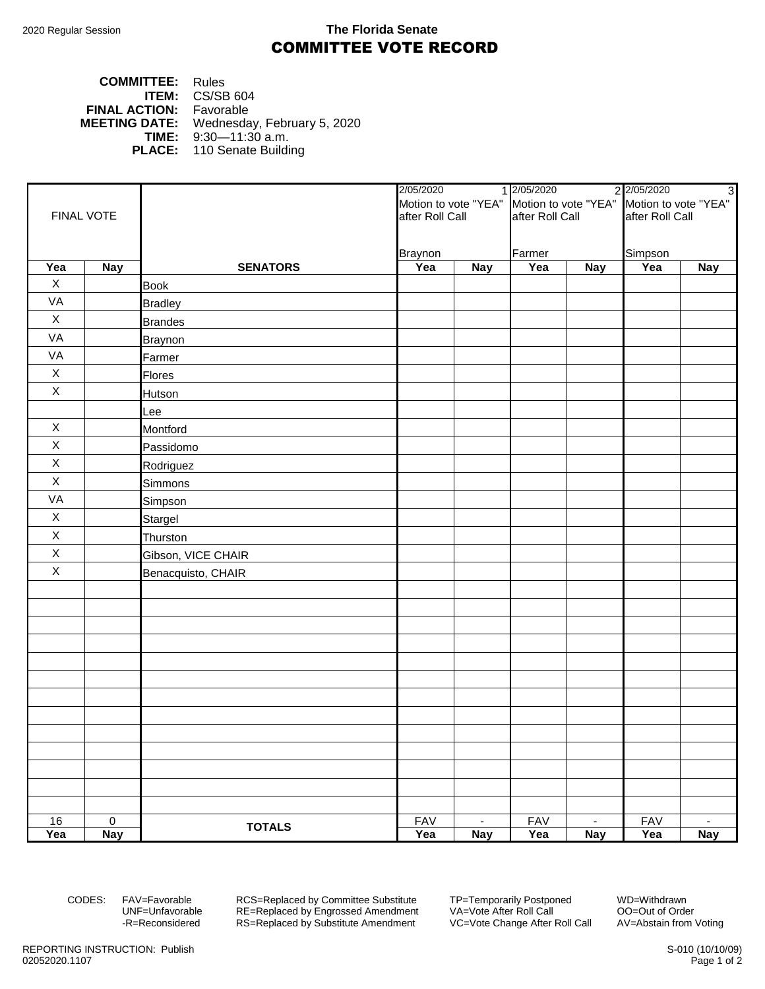## 2020 Regular Session **The Florida Senate** COMMITTEE VOTE RECORD

| <b>COMMITTEE:</b> Rules        |                                                  |
|--------------------------------|--------------------------------------------------|
|                                | <b>ITEM:</b> $CS/SB 604$                         |
| <b>FINAL ACTION:</b> Favorable |                                                  |
|                                | <b>MEETING DATE:</b> Wednesday, February 5, 2020 |
|                                | <b>TIME:</b> $9:30-11:30$ a.m.                   |
|                                | <b>PLACE:</b> 110 Senate Building                |

|             |                  |                    | 2/05/2020                                                      |                | 2 2/05/2020<br>1 2/05/2020 |            |                 |                |
|-------------|------------------|--------------------|----------------------------------------------------------------|----------------|----------------------------|------------|-----------------|----------------|
|             |                  |                    | Motion to vote "YEA" Motion to vote "YEA" Motion to vote "YEA" |                |                            |            |                 |                |
| FINAL VOTE  |                  |                    | after Roll Call                                                |                | after Roll Call            |            | after Roll Call |                |
|             |                  |                    |                                                                |                |                            |            |                 |                |
|             |                  |                    | <b>Braynon</b>                                                 |                | Farmer                     |            | Simpson         |                |
| Yea         | <b>Nay</b>       | <b>SENATORS</b>    | Yea                                                            | <b>Nay</b>     | Yea                        | <b>Nay</b> | Yea             | <b>Nay</b>     |
| X           |                  | <b>Book</b>        |                                                                |                |                            |            |                 |                |
| VA          |                  | <b>Bradley</b>     |                                                                |                |                            |            |                 |                |
| X           |                  | <b>Brandes</b>     |                                                                |                |                            |            |                 |                |
| VA          |                  | <b>Braynon</b>     |                                                                |                |                            |            |                 |                |
| VA          |                  | Farmer             |                                                                |                |                            |            |                 |                |
| $\mathsf X$ |                  | Flores             |                                                                |                |                            |            |                 |                |
| $\mathsf X$ |                  | Hutson             |                                                                |                |                            |            |                 |                |
|             |                  | Lee                |                                                                |                |                            |            |                 |                |
| X           |                  | Montford           |                                                                |                |                            |            |                 |                |
| $\mathsf X$ |                  | Passidomo          |                                                                |                |                            |            |                 |                |
| $\mathsf X$ |                  | Rodriguez          |                                                                |                |                            |            |                 |                |
| $\mathsf X$ |                  | Simmons            |                                                                |                |                            |            |                 |                |
| VA          |                  | Simpson            |                                                                |                |                            |            |                 |                |
| $\mathsf X$ |                  | Stargel            |                                                                |                |                            |            |                 |                |
| $\mathsf X$ |                  | Thurston           |                                                                |                |                            |            |                 |                |
| $\mathsf X$ |                  | Gibson, VICE CHAIR |                                                                |                |                            |            |                 |                |
| $\mathsf X$ |                  | Benacquisto, CHAIR |                                                                |                |                            |            |                 |                |
|             |                  |                    |                                                                |                |                            |            |                 |                |
|             |                  |                    |                                                                |                |                            |            |                 |                |
|             |                  |                    |                                                                |                |                            |            |                 |                |
|             |                  |                    |                                                                |                |                            |            |                 |                |
|             |                  |                    |                                                                |                |                            |            |                 |                |
|             |                  |                    |                                                                |                |                            |            |                 |                |
|             |                  |                    |                                                                |                |                            |            |                 |                |
|             |                  |                    |                                                                |                |                            |            |                 |                |
|             |                  |                    |                                                                |                |                            |            |                 |                |
|             |                  |                    |                                                                |                |                            |            |                 |                |
|             |                  |                    |                                                                |                |                            |            |                 |                |
|             |                  |                    |                                                                |                |                            |            |                 |                |
|             |                  |                    |                                                                |                |                            |            |                 |                |
| 16          | $\boldsymbol{0}$ | <b>TOTALS</b>      | <b>FAV</b>                                                     | $\blacksquare$ | <b>FAV</b>                 | $\sim$     | <b>FAV</b>      | $\blacksquare$ |
| Yea         | <b>Nay</b>       |                    | Yea                                                            | <b>Nay</b>     | Yea                        | <b>Nay</b> | Yea             | <b>Nay</b>     |